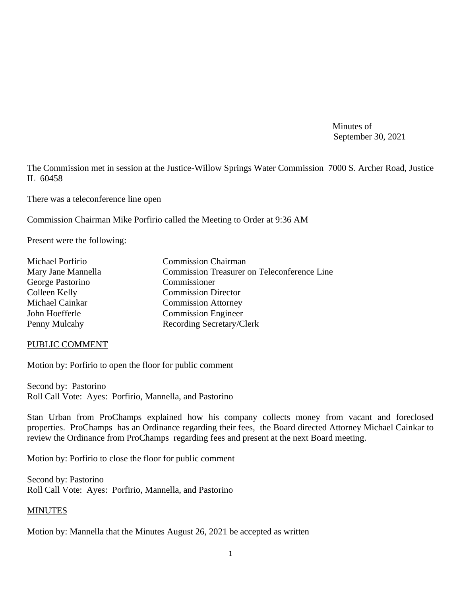Minutes of September 30, 2021

The Commission met in session at the Justice-Willow Springs Water Commission 7000 S. Archer Road, Justice IL 60458

There was a teleconference line open

Commission Chairman Mike Porfirio called the Meeting to Order at 9:36 AM

Present were the following:

| Michael Porfirio   | <b>Commission Chairman</b>                         |
|--------------------|----------------------------------------------------|
| Mary Jane Mannella | <b>Commission Treasurer on Teleconference Line</b> |
| George Pastorino   | Commissioner                                       |
| Colleen Kelly      | <b>Commission Director</b>                         |
| Michael Cainkar    | <b>Commission Attorney</b>                         |
| John Hoefferle     | <b>Commission Engineer</b>                         |
| Penny Mulcahy      | Recording Secretary/Clerk                          |

#### PUBLIC COMMENT

Motion by: Porfirio to open the floor for public comment

Second by: Pastorino Roll Call Vote: Ayes: Porfirio, Mannella, and Pastorino

Stan Urban from ProChamps explained how his company collects money from vacant and foreclosed properties. ProChamps has an Ordinance regarding their fees, the Board directed Attorney Michael Cainkar to review the Ordinance from ProChamps regarding fees and present at the next Board meeting.

Motion by: Porfirio to close the floor for public comment

Second by: Pastorino Roll Call Vote: Ayes: Porfirio, Mannella, and Pastorino

#### **MINUTES**

Motion by: Mannella that the Minutes August 26, 2021 be accepted as written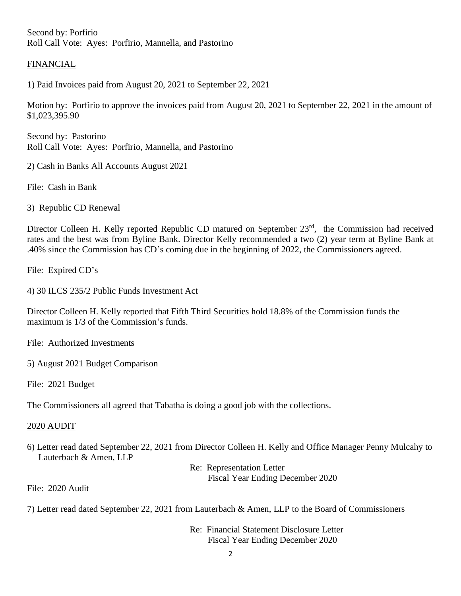Second by: Porfirio Roll Call Vote: Ayes: Porfirio, Mannella, and Pastorino

### FINANCIAL

1) Paid Invoices paid from August 20, 2021 to September 22, 2021

Motion by: Porfirio to approve the invoices paid from August 20, 2021 to September 22, 2021 in the amount of \$1,023,395.90

Second by: Pastorino Roll Call Vote: Ayes: Porfirio, Mannella, and Pastorino

2) Cash in Banks All Accounts August 2021

File: Cash in Bank

3) Republic CD Renewal

Director Colleen H. Kelly reported Republic CD matured on September 23<sup>rd</sup>, the Commission had received rates and the best was from Byline Bank. Director Kelly recommended a two (2) year term at Byline Bank at .40% since the Commission has CD's coming due in the beginning of 2022, the Commissioners agreed.

File: Expired CD's

4) 30 ILCS 235/2 Public Funds Investment Act

Director Colleen H. Kelly reported that Fifth Third Securities hold 18.8% of the Commission funds the maximum is 1/3 of the Commission's funds.

File: Authorized Investments

5) August 2021 Budget Comparison

File: 2021 Budget

The Commissioners all agreed that Tabatha is doing a good job with the collections.

### 2020 AUDIT

6) Letter read dated September 22, 2021 from Director Colleen H. Kelly and Office Manager Penny Mulcahy to Lauterbach & Amen, LLP

> Re: Representation Letter Fiscal Year Ending December 2020

File: 2020 Audit

7) Letter read dated September 22, 2021 from Lauterbach & Amen, LLP to the Board of Commissioners

Re: Financial Statement Disclosure Letter Fiscal Year Ending December 2020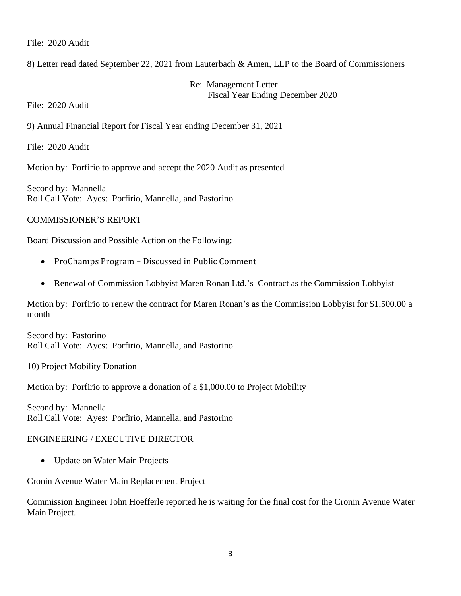File: 2020 Audit

8) Letter read dated September 22, 2021 from Lauterbach & Amen, LLP to the Board of Commissioners

Re: Management Letter Fiscal Year Ending December 2020

File: 2020 Audit

9) Annual Financial Report for Fiscal Year ending December 31, 2021

File: 2020 Audit

Motion by: Porfirio to approve and accept the 2020 Audit as presented

Second by: Mannella Roll Call Vote: Ayes: Porfirio, Mannella, and Pastorino

#### COMMISSIONER'S REPORT

Board Discussion and Possible Action on the Following:

- ProChamps Program Discussed in Public Comment
- Renewal of Commission Lobbyist Maren Ronan Ltd.'s Contract as the Commission Lobbyist

Motion by: Porfirio to renew the contract for Maren Ronan's as the Commission Lobbyist for \$1,500.00 a month

Second by: Pastorino Roll Call Vote: Ayes: Porfirio, Mannella, and Pastorino

10) Project Mobility Donation

Motion by: Porfirio to approve a donation of a \$1,000.00 to Project Mobility

Second by: Mannella Roll Call Vote: Ayes: Porfirio, Mannella, and Pastorino

### ENGINEERING / EXECUTIVE DIRECTOR

• Update on Water Main Projects

Cronin Avenue Water Main Replacement Project

Commission Engineer John Hoefferle reported he is waiting for the final cost for the Cronin Avenue Water Main Project.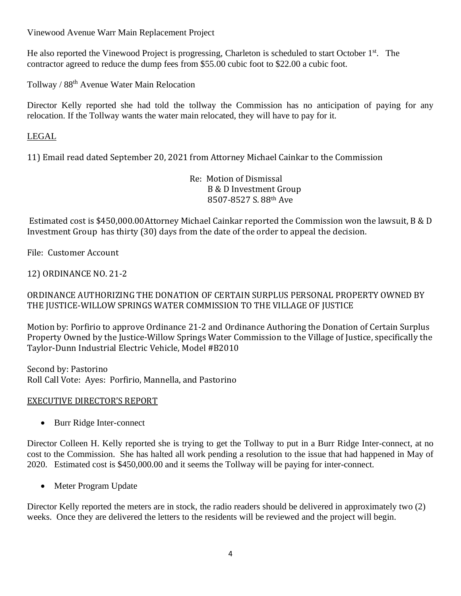Vinewood Avenue Warr Main Replacement Project

He also reported the Vinewood Project is progressing, Charleton is scheduled to start October 1<sup>st</sup>. The contractor agreed to reduce the dump fees from \$55.00 cubic foot to \$22.00 a cubic foot.

Tollway / 88th Avenue Water Main Relocation

Director Kelly reported she had told the tollway the Commission has no anticipation of paying for any relocation. If the Tollway wants the water main relocated, they will have to pay for it.

# LEGAL

11) Email read dated September 20, 2021 from Attorney Michael Cainkar to the Commission

Re: Motion of Dismissal B & D Investment Group 8507-8527 S. 88th Ave

Estimated cost is \$450,000.00Attorney Michael Cainkar reported the Commission won the lawsuit, B & D Investment Group has thirty (30) days from the date of the order to appeal the decision.

File: Customer Account

12) ORDINANCE NO. 21-2

# ORDINANCE AUTHORIZING THE DONATION OF CERTAIN SURPLUS PERSONAL PROPERTY OWNED BY THE JUSTICE-WILLOW SPRINGS WATER COMMISSION TO THE VILLAGE OF JUSTICE

Motion by: Porfirio to approve Ordinance 21-2 and Ordinance Authoring the Donation of Certain Surplus Property Owned by the Justice-Willow Springs Water Commission to the Village of Justice, specifically the Taylor-Dunn Industrial Electric Vehicle, Model #B2010

Second by: Pastorino Roll Call Vote: Ayes: Porfirio, Mannella, and Pastorino

### EXECUTIVE DIRECTOR'S REPORT

• Burr Ridge Inter-connect

Director Colleen H. Kelly reported she is trying to get the Tollway to put in a Burr Ridge Inter-connect, at no cost to the Commission. She has halted all work pending a resolution to the issue that had happened in May of 2020. Estimated cost is \$450,000.00 and it seems the Tollway will be paying for inter-connect.

• Meter Program Update

Director Kelly reported the meters are in stock, the radio readers should be delivered in approximately two (2) weeks. Once they are delivered the letters to the residents will be reviewed and the project will begin.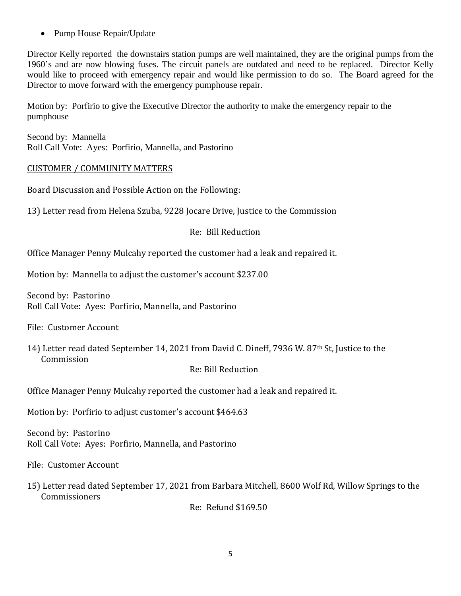• Pump House Repair/Update

Director Kelly reported the downstairs station pumps are well maintained, they are the original pumps from the 1960's and are now blowing fuses. The circuit panels are outdated and need to be replaced. Director Kelly would like to proceed with emergency repair and would like permission to do so. The Board agreed for the Director to move forward with the emergency pumphouse repair.

Motion by: Porfirio to give the Executive Director the authority to make the emergency repair to the pumphouse

Second by: Mannella Roll Call Vote: Ayes: Porfirio, Mannella, and Pastorino

### CUSTOMER / COMMUNITY MATTERS

Board Discussion and Possible Action on the Following:

13) Letter read from Helena Szuba, 9228 Jocare Drive, Justice to the Commission

Re: Bill Reduction

Office Manager Penny Mulcahy reported the customer had a leak and repaired it.

Motion by: Mannella to adjust the customer's account \$237.00

Second by: Pastorino Roll Call Vote: Ayes: Porfirio, Mannella, and Pastorino

File: Customer Account

14) Letter read dated September 14, 2021 from David C. Dineff, 7936 W. 87th St, Justice to the Commission

Re: Bill Reduction

Office Manager Penny Mulcahy reported the customer had a leak and repaired it.

Motion by: Porfirio to adjust customer's account \$464.63

Second by: Pastorino Roll Call Vote: Ayes: Porfirio, Mannella, and Pastorino

File: Customer Account

15) Letter read dated September 17, 2021 from Barbara Mitchell, 8600 Wolf Rd, Willow Springs to the Commissioners

Re: Refund \$169.50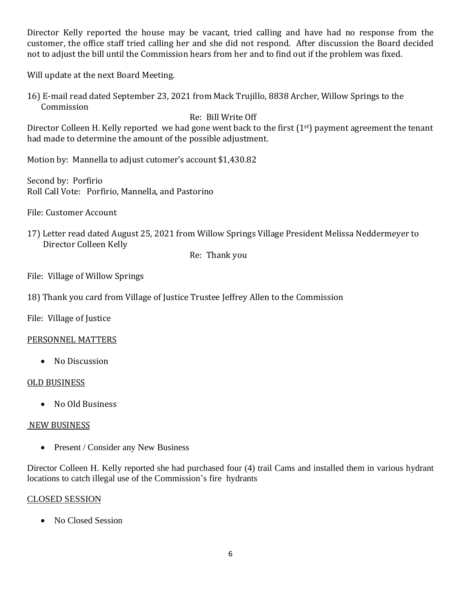Director Kelly reported the house may be vacant, tried calling and have had no response from the customer, the office staff tried calling her and she did not respond. After discussion the Board decided not to adjust the bill until the Commission hears from her and to find out if the problem was fixed.

Will update at the next Board Meeting.

16) E-mail read dated September 23, 2021 from Mack Trujillo, 8838 Archer, Willow Springs to the Commission

## Re: Bill Write Off

Director Colleen H. Kelly reported we had gone went back to the first  $(1<sup>st</sup>)$  payment agreement the tenant had made to determine the amount of the possible adjustment.

Motion by: Mannella to adjust cutomer's account \$1,430.82

Second by: Porfirio Roll Call Vote: Porfirio, Mannella, and Pastorino

File: Customer Account

17) Letter read dated August 25, 2021 from Willow Springs Village President Melissa Neddermeyer to Director Colleen Kelly

Re: Thank you

File: Village of Willow Springs

18) Thank you card from Village of Justice Trustee Jeffrey Allen to the Commission

File: Village of Justice

### PERSONNEL MATTERS

• No Discussion

### OLD BUSINESS

• No Old Business

### NEW BUSINESS

• Present / Consider any New Business

Director Colleen H. Kelly reported she had purchased four (4) trail Cams and installed them in various hydrant locations to catch illegal use of the Commission's fire hydrants

### CLOSED SESSION

• No Closed Session